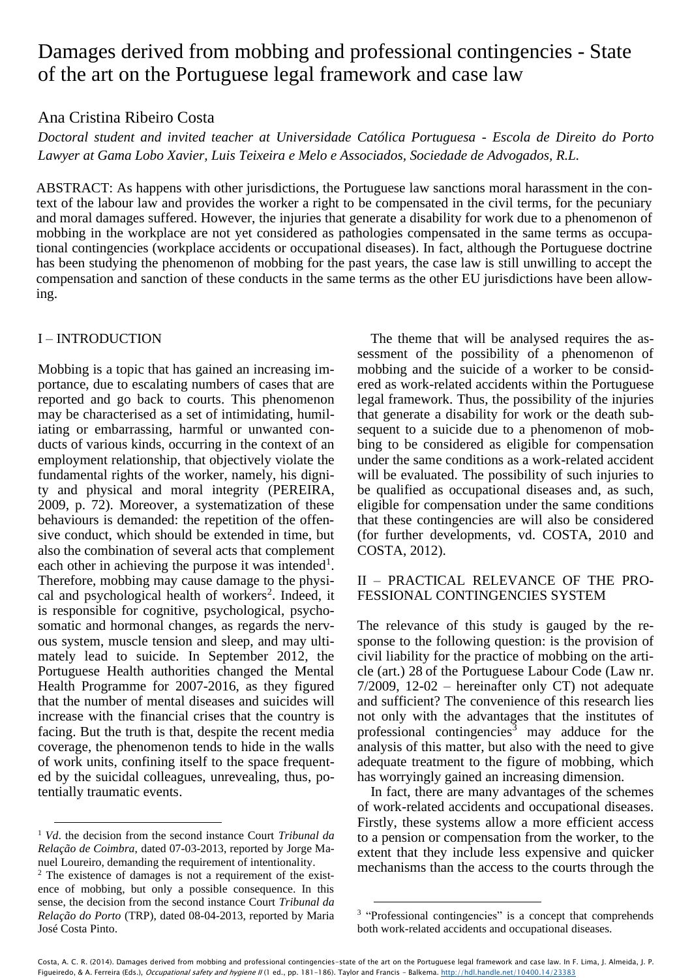# Damages derived from mobbing and professional contingencies - State of the art on the Portuguese legal framework and case law

Ana Cristina Ribeiro Costa

*Doctoral student and invited teacher at Universidade Católica Portuguesa - Escola de Direito do Porto Lawyer at Gama Lobo Xavier, Luis Teixeira e Melo e Associados, Sociedade de Advogados, R.L.*

ABSTRACT: As happens with other jurisdictions, the Portuguese law sanctions moral harassment in the context of the labour law and provides the worker a right to be compensated in the civil terms, for the pecuniary and moral damages suffered. However, the injuries that generate a disability for work due to a phenomenon of mobbing in the workplace are not yet considered as pathologies compensated in the same terms as occupational contingencies (workplace accidents or occupational diseases). In fact, although the Portuguese doctrine has been studying the phenomenon of mobbing for the past years, the case law is still unwilling to accept the compensation and sanction of these conducts in the same terms as the other EU jurisdictions have been allowing.

## I – INTRODUCTION

Mobbing is a topic that has gained an increasing importance, due to escalating numbers of cases that are reported and go back to courts. This phenomenon may be characterised as a set of intimidating, humiliating or embarrassing, harmful or unwanted conducts of various kinds, occurring in the context of an employment relationship, that objectively violate the fundamental rights of the worker, namely, his dignity and physical and moral integrity (PEREIRA, 2009, p. 72). Moreover, a systematization of these behaviours is demanded: the repetition of the offensive conduct, which should be extended in time, but also the combination of several acts that complement each other in achieving the purpose it was intended<sup>1</sup>. Therefore, mobbing may cause damage to the physical and psychological health of workers<sup>2</sup>. Indeed, it is responsible for cognitive, psychological, psychosomatic and hormonal changes, as regards the nervous system, muscle tension and sleep, and may ultimately lead to suicide. In September 2012, the Portuguese Health authorities changed the Mental Health Programme for 2007-2016, as they figured that the number of mental diseases and suicides will increase with the financial crises that the country is facing. But the truth is that, despite the recent media coverage, the phenomenon tends to hide in the walls of work units, confining itself to the space frequented by the suicidal colleagues, unrevealing, thus, potentially traumatic events.

The theme that will be analysed requires the assessment of the possibility of a phenomenon of mobbing and the suicide of a worker to be considered as work-related accidents within the Portuguese legal framework. Thus, the possibility of the injuries that generate a disability for work or the death subsequent to a suicide due to a phenomenon of mobbing to be considered as eligible for compensation under the same conditions as a work-related accident will be evaluated. The possibility of such injuries to be qualified as occupational diseases and, as such, eligible for compensation under the same conditions that these contingencies are will also be considered (for further developments, vd. COSTA, 2010 and COSTA, 2012).

### II – PRACTICAL RELEVANCE OF THE PRO-FESSIONAL CONTINGENCIES SYSTEM

The relevance of this study is gauged by the response to the following question: is the provision of civil liability for the practice of mobbing on the article (art.) 28 of the Portuguese Labour Code (Law nr. 7/2009, 12-02 – hereinafter only CT) not adequate and sufficient? The convenience of this research lies not only with the advantages that the institutes of professional contingencies<sup>3</sup> may adduce for the analysis of this matter, but also with the need to give adequate treatment to the figure of mobbing, which has worryingly gained an increasing dimension.

In fact, there are many advantages of the schemes of work-related accidents and occupational diseases. Firstly, these systems allow a more efficient access to a pension or compensation from the worker, to the extent that they include less expensive and quicker mechanisms than the access to the courts through the

<sup>1</sup> *Vd*. the decision from the second instance Court *Tribunal da Relação de Coimbra*, dated 07-03-2013, reported by Jorge Manuel Loureiro, demanding the requirement of intentionality.

<sup>&</sup>lt;sup>2</sup> The existence of damages is not a requirement of the existence of mobbing, but only a possible consequence. In this sense, the decision from the second instance Court *Tribunal da Relação do Porto* (TRP), dated 08-04-2013, reported by Maria José Costa Pinto.

<sup>&</sup>lt;sup>3</sup> "Professional contingencies" is a concept that comprehends both work-related accidents and occupational diseases.

Costa, A. C. R. (2014). Damages derived from mobbing and professional contingencies-state of the art on the Portuguese legal framework and case law. In F. Lima, J. Almeida, J. P. Figueiredo, & A. Ferreira (Eds.), Occupational safety and hygiene II (1 ed., pp. 181-186). Taylor and Francis - Balkema. <http://hdl.handle.net/10400.14/23383>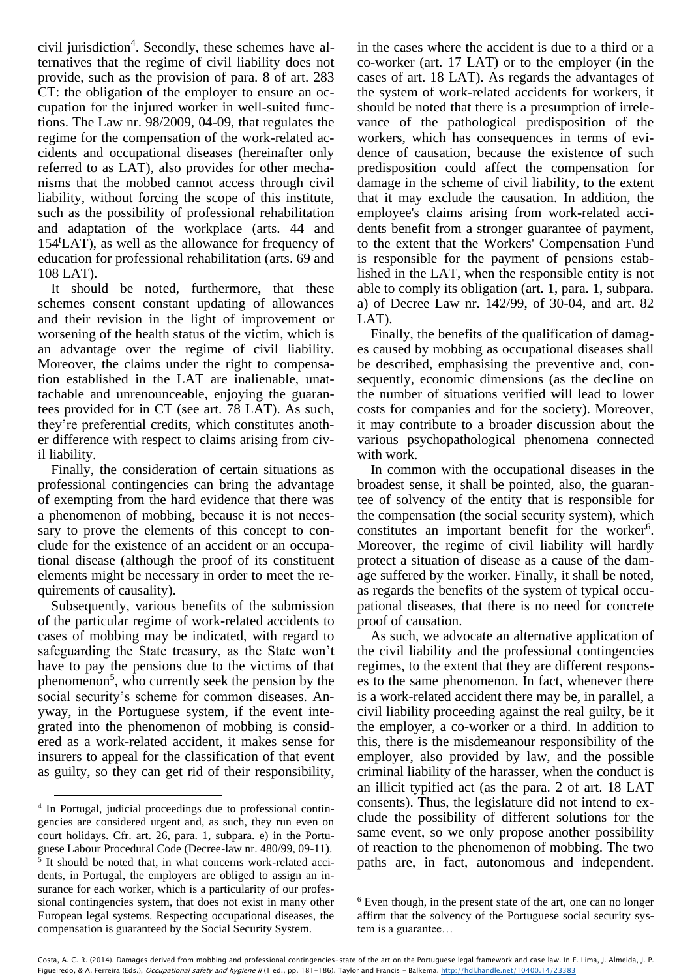civil jurisdiction<sup>4</sup>. Secondly, these schemes have alternatives that the regime of civil liability does not provide, such as the provision of para. 8 of art. 283 CT: the obligation of the employer to ensure an occupation for the injured worker in well-suited functions. The Law nr. 98/2009, 04-09, that regulates the regime for the compensation of the work-related accidents and occupational diseases (hereinafter only referred to as LAT), also provides for other mechanisms that the mobbed cannot access through civil liability, without forcing the scope of this institute, such as the possibility of professional rehabilitation and adaptation of the workplace (arts. 44 and 154<sup>t</sup>LAT), as well as the allowance for frequency of education for professional rehabilitation (arts. 69 and 108 LAT).

It should be noted, furthermore, that these schemes consent constant updating of allowances and their revision in the light of improvement or worsening of the health status of the victim, which is an advantage over the regime of civil liability. Moreover, the claims under the right to compensation established in the LAT are inalienable, unattachable and unrenounceable, enjoying the guarantees provided for in CT (see art. 78 LAT). As such, they're preferential credits, which constitutes another difference with respect to claims arising from civil liability.

Finally, the consideration of certain situations as professional contingencies can bring the advantage of exempting from the hard evidence that there was a phenomenon of mobbing, because it is not necessary to prove the elements of this concept to conclude for the existence of an accident or an occupational disease (although the proof of its constituent elements might be necessary in order to meet the requirements of causality).

Subsequently, various benefits of the submission of the particular regime of work-related accidents to cases of mobbing may be indicated, with regard to safeguarding the State treasury, as the State won't have to pay the pensions due to the victims of that phenomenon<sup>5</sup>, who currently seek the pension by the social security's scheme for common diseases. Anyway, in the Portuguese system, if the event integrated into the phenomenon of mobbing is considered as a work-related accident, it makes sense for insurers to appeal for the classification of that event as guilty, so they can get rid of their responsibility,

in the cases where the accident is due to a third or a co-worker (art. 17 LAT) or to the employer (in the cases of art. 18 LAT). As regards the advantages of the system of work-related accidents for workers, it should be noted that there is a presumption of irrelevance of the pathological predisposition of the workers, which has consequences in terms of evidence of causation, because the existence of such predisposition could affect the compensation for damage in the scheme of civil liability, to the extent that it may exclude the causation. In addition, the employee's claims arising from work-related accidents benefit from a stronger guarantee of payment, to the extent that the Workers' Compensation Fund is responsible for the payment of pensions established in the LAT, when the responsible entity is not able to comply its obligation (art. 1, para. 1, subpara. a) of Decree Law nr. 142/99, of 30-04, and art. 82 LAT).

Finally, the benefits of the qualification of damages caused by mobbing as occupational diseases shall be described, emphasising the preventive and, consequently, economic dimensions (as the decline on the number of situations verified will lead to lower costs for companies and for the society). Moreover, it may contribute to a broader discussion about the various psychopathological phenomena connected with work.

In common with the occupational diseases in the broadest sense, it shall be pointed, also, the guarantee of solvency of the entity that is responsible for the compensation (the social security system), which constitutes an important benefit for the worker<sup>6</sup>. Moreover, the regime of civil liability will hardly protect a situation of disease as a cause of the damage suffered by the worker. Finally, it shall be noted, as regards the benefits of the system of typical occupational diseases, that there is no need for concrete proof of causation.

As such, we advocate an alternative application of the civil liability and the professional contingencies regimes, to the extent that they are different responses to the same phenomenon. In fact, whenever there is a work-related accident there may be, in parallel, a civil liability proceeding against the real guilty, be it the employer, a co-worker or a third. In addition to this, there is the misdemeanour responsibility of the employer, also provided by law, and the possible criminal liability of the harasser, when the conduct is an illicit typified act (as the para. 2 of art. 18 LAT consents). Thus, the legislature did not intend to exclude the possibility of different solutions for the same event, so we only propose another possibility of reaction to the phenomenon of mobbing. The two paths are, in fact, autonomous and independent.

<sup>4</sup> In Portugal, judicial proceedings due to professional contingencies are considered urgent and, as such, they run even on court holidays. Cfr. art. 26, para. 1, subpara. e) in the Portuguese Labour Procedural Code (Decree-law nr. 480/99, 09-11). <sup>5</sup> It should be noted that, in what concerns work-related accidents, in Portugal, the employers are obliged to assign an insurance for each worker, which is a particularity of our professional contingencies system, that does not exist in many other European legal systems. Respecting occupational diseases, the compensation is guaranteed by the Social Security System.

<sup>&</sup>lt;sup>6</sup> Even though, in the present state of the art, one can no longer affirm that the solvency of the Portuguese social security system is a guarantee…

Costa, A. C. R. (2014). Damages derived from mobbing and professional contingencies-state of the art on the Portuguese legal framework and case law. In F. Lima, J. Almeida, J. P. Figueiredo, & A. Ferreira (Eds.), Occupational safety and hygiene II (1 ed., pp. 181-186). Taylor and Francis - Balkema. <http://hdl.handle.net/10400.14/23383>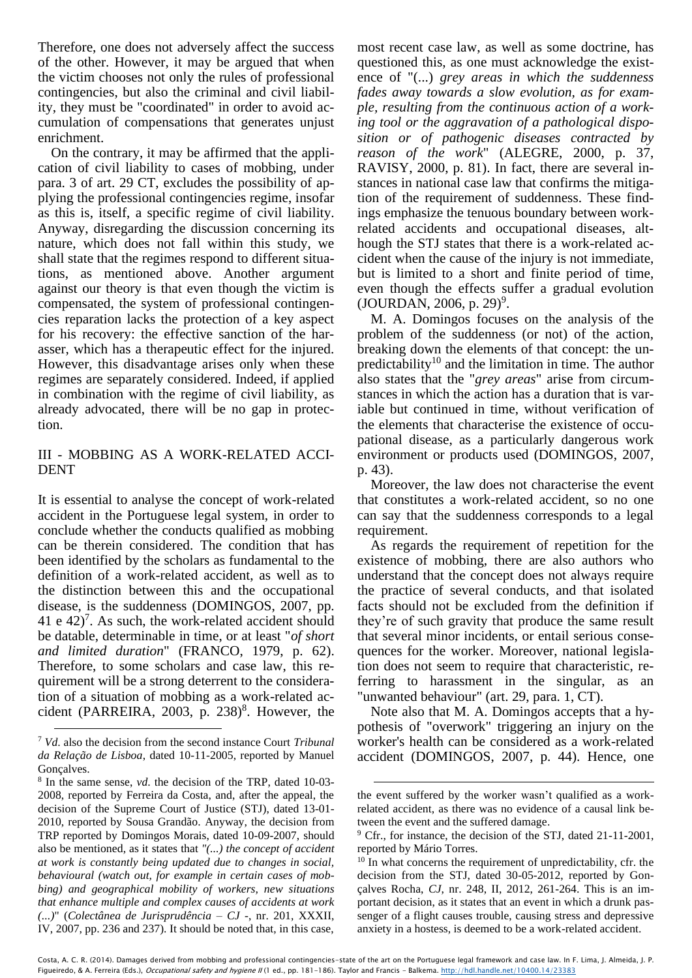Therefore, one does not adversely affect the success of the other. However, it may be argued that when the victim chooses not only the rules of professional contingencies, but also the criminal and civil liability, they must be "coordinated" in order to avoid accumulation of compensations that generates unjust enrichment.

On the contrary, it may be affirmed that the application of civil liability to cases of mobbing, under para. 3 of art. 29 CT, excludes the possibility of applying the professional contingencies regime, insofar as this is, itself, a specific regime of civil liability. Anyway, disregarding the discussion concerning its nature, which does not fall within this study, we shall state that the regimes respond to different situations, as mentioned above. Another argument against our theory is that even though the victim is compensated, the system of professional contingencies reparation lacks the protection of a key aspect for his recovery: the effective sanction of the harasser, which has a therapeutic effect for the injured. However, this disadvantage arises only when these regimes are separately considered. Indeed, if applied in combination with the regime of civil liability, as already advocated, there will be no gap in protection.

#### III - MOBBING AS A WORK-RELATED ACCI-DENT

It is essential to analyse the concept of work-related accident in the Portuguese legal system, in order to conclude whether the conducts qualified as mobbing can be therein considered. The condition that has been identified by the scholars as fundamental to the definition of a work-related accident, as well as to the distinction between this and the occupational disease, is the suddenness (DOMINGOS, 2007, pp. 41 e  $(42)^7$ . As such, the work-related accident should be datable, determinable in time, or at least "*of short and limited duration*" (FRANCO, 1979, p. 62). Therefore, to some scholars and case law, this requirement will be a strong deterrent to the consideration of a situation of mobbing as a work-related accident (PARREIRA, 2003, p.  $238$ )<sup>8</sup>. However, the

most recent case law, as well as some doctrine, has questioned this, as one must acknowledge the existence of "(...) *grey areas in which the suddenness fades away towards a slow evolution, as for example, resulting from the continuous action of a working tool or the aggravation of a pathological disposition or of pathogenic diseases contracted by reason of the work*" (ALEGRE, 2000, p. 37, RAVISY, 2000, p. 81). In fact, there are several instances in national case law that confirms the mitigation of the requirement of suddenness. These findings emphasize the tenuous boundary between workrelated accidents and occupational diseases, although the STJ states that there is a work-related accident when the cause of the injury is not immediate, but is limited to a short and finite period of time, even though the effects suffer a gradual evolution  $(JOURDAN, 2006, p. 29)^9$ .

M. A. Domingos focuses on the analysis of the problem of the suddenness (or not) of the action, breaking down the elements of that concept: the unpredictability<sup>10</sup> and the limitation in time. The author also states that the "*grey areas*" arise from circumstances in which the action has a duration that is variable but continued in time, without verification of the elements that characterise the existence of occupational disease, as a particularly dangerous work environment or products used (DOMINGOS, 2007, p. 43).

Moreover, the law does not characterise the event that constitutes a work-related accident, so no one can say that the suddenness corresponds to a legal requirement.

As regards the requirement of repetition for the existence of mobbing, there are also authors who understand that the concept does not always require the practice of several conducts, and that isolated facts should not be excluded from the definition if they're of such gravity that produce the same result that several minor incidents, or entail serious consequences for the worker. Moreover, national legislation does not seem to require that characteristic, referring to harassment in the singular, as an "unwanted behaviour" (art. 29, para. 1, CT).

Note also that M. A. Domingos accepts that a hypothesis of "overwork" triggering an injury on the worker's health can be considered as a work-related accident (DOMINGOS, 2007, p. 44). Hence, one

<sup>7</sup> *Vd*. also the decision from the second instance Court *Tribunal da Relação de Lisboa*, dated 10-11-2005, reported by Manuel Gonçalves.

<sup>8</sup> In the same sense, *vd*. the decision of the TRP, dated 10-03- 2008, reported by Ferreira da Costa, and, after the appeal, the decision of the Supreme Court of Justice (STJ), dated 13-01- 2010, reported by Sousa Grandão. Anyway, the decision from TRP reported by Domingos Morais, dated 10-09-2007, should also be mentioned, as it states that *"(...) the concept of accident at work is constantly being updated due to changes in social, behavioural (watch out, for example in certain cases of mobbing) and geographical mobility of workers, new situations that enhance multiple and complex causes of accidents at work (...)*" (*Colectânea de Jurisprudência* – *CJ* -, nr. 201, XXXII, IV, 2007, pp. 236 and 237). It should be noted that, in this case,

the event suffered by the worker wasn't qualified as a workrelated accident, as there was no evidence of a causal link between the event and the suffered damage.

<sup>&</sup>lt;sup>9</sup> Cfr., for instance, the decision of the STJ, dated 21-11-2001, reported by Mário Torres.

<sup>&</sup>lt;sup>10</sup> In what concerns the requirement of unpredictability, cfr. the decision from the STJ, dated 30-05-2012, reported by Gonçalves Rocha, *CJ*, nr. 248, II, 2012, 261-264. This is an important decision, as it states that an event in which a drunk passenger of a flight causes trouble, causing stress and depressive anxiety in a hostess, is deemed to be a work-related accident.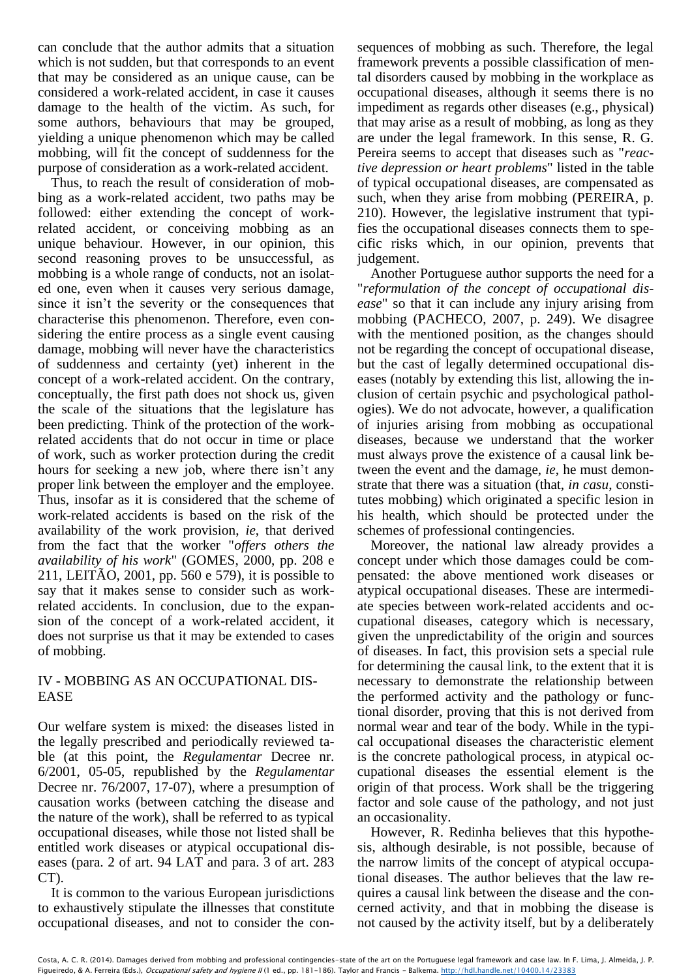can conclude that the author admits that a situation which is not sudden, but that corresponds to an event that may be considered as an unique cause, can be considered a work-related accident, in case it causes damage to the health of the victim. As such, for some authors, behaviours that may be grouped, yielding a unique phenomenon which may be called mobbing, will fit the concept of suddenness for the purpose of consideration as a work-related accident.

Thus, to reach the result of consideration of mobbing as a work-related accident, two paths may be followed: either extending the concept of workrelated accident, or conceiving mobbing as an unique behaviour. However, in our opinion, this second reasoning proves to be unsuccessful, as mobbing is a whole range of conducts, not an isolated one, even when it causes very serious damage, since it isn't the severity or the consequences that characterise this phenomenon. Therefore, even considering the entire process as a single event causing damage, mobbing will never have the characteristics of suddenness and certainty (yet) inherent in the concept of a work-related accident. On the contrary, conceptually, the first path does not shock us, given the scale of the situations that the legislature has been predicting. Think of the protection of the workrelated accidents that do not occur in time or place of work, such as worker protection during the credit hours for seeking a new job, where there isn't any proper link between the employer and the employee. Thus, insofar as it is considered that the scheme of work-related accidents is based on the risk of the availability of the work provision, *ie*, that derived from the fact that the worker "*offers others the availability of his work*" (GOMES, 2000, pp. 208 e 211, LEITÃO, 2001, pp. 560 e 579), it is possible to say that it makes sense to consider such as workrelated accidents. In conclusion, due to the expansion of the concept of a work-related accident, it does not surprise us that it may be extended to cases of mobbing.

#### IV - MOBBING AS AN OCCUPATIONAL DIS-EASE

Our welfare system is mixed: the diseases listed in the legally prescribed and periodically reviewed table (at this point, the *Regulamentar* Decree nr. 6/2001, 05-05, republished by the *Regulamentar* Decree nr. 76/2007, 17-07), where a presumption of causation works (between catching the disease and the nature of the work), shall be referred to as typical occupational diseases, while those not listed shall be entitled work diseases or atypical occupational diseases (para. 2 of art. 94 LAT and para. 3 of art. 283 CT).

It is common to the various European jurisdictions to exhaustively stipulate the illnesses that constitute occupational diseases, and not to consider the con-

sequences of mobbing as such. Therefore, the legal framework prevents a possible classification of mental disorders caused by mobbing in the workplace as occupational diseases, although it seems there is no impediment as regards other diseases (e.g., physical) that may arise as a result of mobbing, as long as they are under the legal framework. In this sense, R. G. Pereira seems to accept that diseases such as "*reactive depression or heart problems*" listed in the table of typical occupational diseases, are compensated as such, when they arise from mobbing (PEREIRA, p. 210). However, the legislative instrument that typifies the occupational diseases connects them to specific risks which, in our opinion, prevents that judgement.

Another Portuguese author supports the need for a "*reformulation of the concept of occupational disease*" so that it can include any injury arising from mobbing (PACHECO, 2007, p. 249). We disagree with the mentioned position, as the changes should not be regarding the concept of occupational disease, but the cast of legally determined occupational diseases (notably by extending this list, allowing the inclusion of certain psychic and psychological pathologies). We do not advocate, however, a qualification of injuries arising from mobbing as occupational diseases, because we understand that the worker must always prove the existence of a causal link between the event and the damage, *ie*, he must demonstrate that there was a situation (that, *in casu*, constitutes mobbing) which originated a specific lesion in his health, which should be protected under the schemes of professional contingencies.

Moreover, the national law already provides a concept under which those damages could be compensated: the above mentioned work diseases or atypical occupational diseases. These are intermediate species between work-related accidents and occupational diseases, category which is necessary, given the unpredictability of the origin and sources of diseases. In fact, this provision sets a special rule for determining the causal link, to the extent that it is necessary to demonstrate the relationship between the performed activity and the pathology or functional disorder, proving that this is not derived from normal wear and tear of the body. While in the typical occupational diseases the characteristic element is the concrete pathological process, in atypical occupational diseases the essential element is the origin of that process. Work shall be the triggering factor and sole cause of the pathology, and not just an occasionality.

However, R. Redinha believes that this hypothesis, although desirable, is not possible, because of the narrow limits of the concept of atypical occupational diseases. The author believes that the law requires a causal link between the disease and the concerned activity, and that in mobbing the disease is not caused by the activity itself, but by a deliberately

Costa, A. C. R. (2014). Damages derived from mobbing and professional contingencies-state of the art on the Portuguese legal framework and case law. In F. Lima, J. Almeida, J. P. Figueiredo, & A. Ferreira (Eds.), Occupational safety and hygiene II (1 ed., pp. 181-186). Taylor and Francis - Balkema. <http://hdl.handle.net/10400.14/23383>